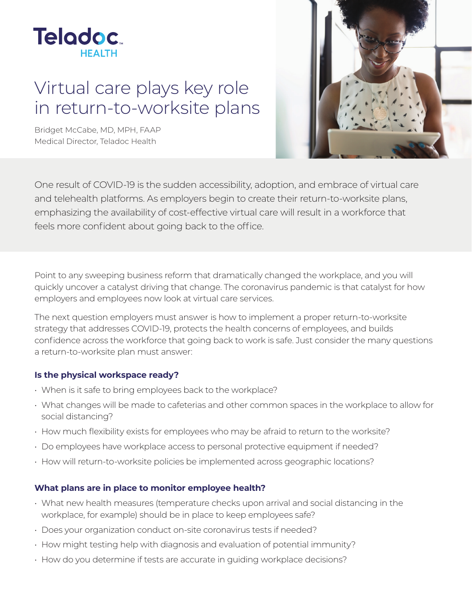

# Virtual care plays key role in return-to-worksite plans

Bridget McCabe, MD, MPH, FAAP Medical Director, Teladoc Health



One result of COVID-19 is the sudden accessibility, adoption, and embrace of virtual care and telehealth platforms. As employers begin to create their return-to-worksite plans, emphasizing the availability of cost-effective virtual care will result in a workforce that feels more confident about going back to the office.

Point to any sweeping business reform that dramatically changed the workplace, and you will quickly uncover a catalyst driving that change. The coronavirus pandemic is that catalyst for how employers and employees now look at virtual care services.

The next question employers must answer is how to implement a proper return-to-worksite strategy that addresses COVID-19, protects the health concerns of employees, and builds confidence across the workforce that going back to work is safe. Just consider the many questions a return-to-worksite plan must answer:

#### **Is the physical workspace ready?**

- When is it safe to bring employees back to the workplace?
- What changes will be made to cafeterias and other common spaces in the workplace to allow for social distancing?
- How much flexibility exists for employees who may be afraid to return to the worksite?
- Do employees have workplace access to personal protective equipment if needed?
- How will return-to-worksite policies be implemented across geographic locations?

#### **What plans are in place to monitor employee health?**

- What new health measures (temperature checks upon arrival and social distancing in the workplace, for example) should be in place to keep employees safe?
- Does your organization conduct on-site coronavirus tests if needed?
- How might testing help with diagnosis and evaluation of potential immunity?
- How do you determine if tests are accurate in guiding workplace decisions?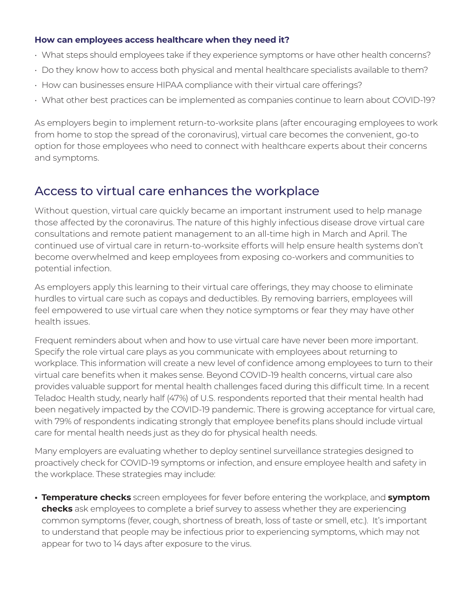### **How can employees access healthcare when they need it?**

- What steps should employees take if they experience symptoms or have other health concerns?
- Do they know how to access both physical and mental healthcare specialists available to them?
- How can businesses ensure HIPAA compliance with their virtual care offerings?
- What other best practices can be implemented as companies continue to learn about COVID-19?

As employers begin to implement return-to-worksite plans (after encouraging employees to work from home to stop the spread of the coronavirus), virtual care becomes the convenient, go-to option for those employees who need to connect with healthcare experts about their concerns and symptoms.

## Access to virtual care enhances the workplace

Without question, virtual care quickly became an important instrument used to help manage those affected by the coronavirus. The nature of this highly infectious disease drove virtual care consultations and remote patient management to an all-time high in March and April. The continued use of virtual care in return-to-worksite efforts will help ensure health systems don't become overwhelmed and keep employees from exposing co-workers and communities to potential infection.

As employers apply this learning to their virtual care offerings, they may choose to eliminate hurdles to virtual care such as copays and deductibles. By removing barriers, employees will feel empowered to use virtual care when they notice symptoms or fear they may have other health issues.

Frequent reminders about when and how to use virtual care have never been more important. Specify the role virtual care plays as you communicate with employees about returning to workplace. This information will create a new level of confidence among employees to turn to their virtual care benefits when it makes sense. Beyond COVID-19 health concerns, virtual care also provides valuable support for mental health challenges faced during this difficult time. In a recent Teladoc Health study, nearly half (47%) of U.S. respondents reported that their mental health had been negatively impacted by the COVID-19 pandemic. There is growing acceptance for virtual care, with 79% of respondents indicating strongly that employee benefits plans should include virtual care for mental health needs just as they do for physical health needs.

Many employers are evaluating whether to deploy sentinel surveillance strategies designed to proactively check for COVID-19 symptoms or infection, and ensure employee health and safety in the workplace. These strategies may include:

**• Temperature checks** screen employees for fever before entering the workplace, and **symptom checks** ask employees to complete a brief survey to assess whether they are experiencing common symptoms (fever, cough, shortness of breath, loss of taste or smell, etc.). It's important to understand that people may be infectious prior to experiencing symptoms, which may not appear for two to 14 days after exposure to the virus.